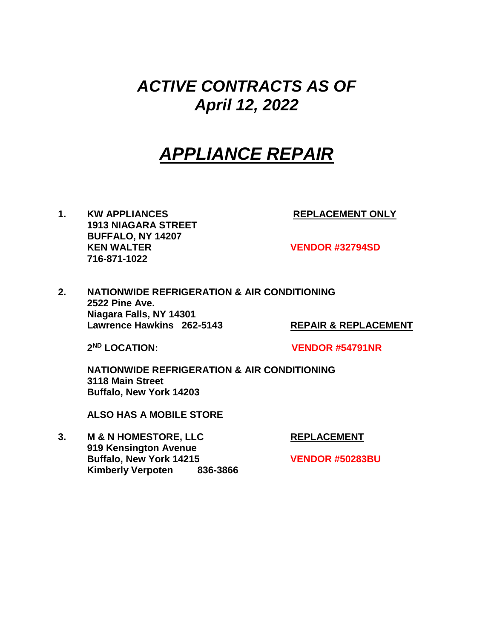### *ACTIVE CONTRACTS AS OF April 12, 2022*

## *APPLIANCE REPAIR*

1. KW APPLIANCES REPLACEMENT ONLY **1913 NIAGARA STREET BUFFALO, NY 14207 KEN WALTER VENDOR #32794SD 716-871-1022**

**2. NATIONWIDE REFRIGERATION & AIR CONDITIONING 2522 Pine Ave. Niagara Falls, NY 14301 Lawrence Hawkins 262-5143 REPAIR & REPLACEMENT**

2<sup>ND</sup> LOCATION:

**ND LOCATION: VENDOR #54791NR**

**NATIONWIDE REFRIGERATION & AIR CONDITIONING 3118 Main Street Buffalo, New York 14203**

**ALSO HAS A MOBILE STORE**

**3. M & N HOMESTORE, LLC REPLACEMENT 919 Kensington Avenue Buffalo, New York 14215 VENDOR #50283BU Kimberly Verpoten 836-3866**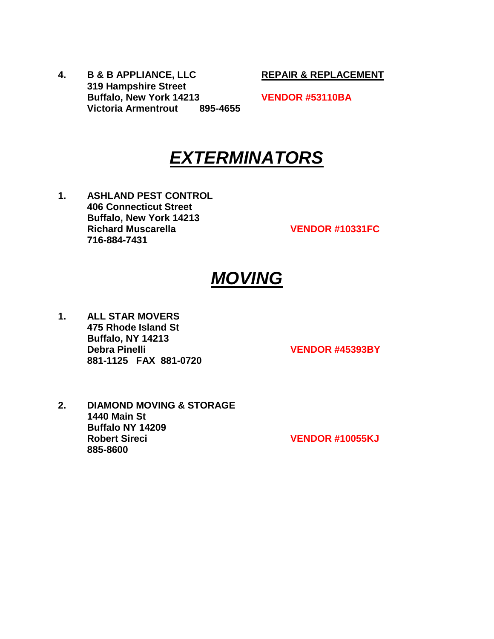**4. B & B APPLIANCE, LLC REPAIR & REPLACEMENT 319 Hampshire Street Buffalo, New York 14213 VENDOR #53110BA Victoria Armentrout 895-4655**

### *EXTERMINATORS*

**1. ASHLAND PEST CONTROL 406 Connecticut Street Buffalo, New York 14213 Richard Muscarella VENDOR #10331FC 716-884-7431**

### *MOVING*

**1. ALL STAR MOVERS 475 Rhode Island St Buffalo, NY 14213 Debra Pinelli VENDOR #45393BY 881-1125 FAX 881-0720**

**2. DIAMOND MOVING & STORAGE 1440 Main St Buffalo NY 14209 Robert Sireci VENDOR #10055KJ 885-8600**